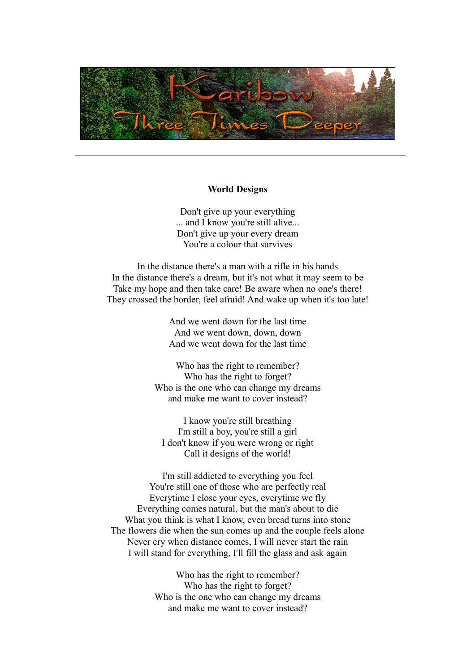

### **World Designs**

Don't give up your everything ... and I know you're still alive... Don't give up your every dream You're a colour that survives

In the distance there's a man with a rifle in his hands In the distance there's a dream, but it's not what it may seem to be Take my hope and then take care! Be aware when no one's there! They crossed the border, feel afraid! And wake up when it's too late!

> And we went down for the last time And we went down, down, down And we went down for the last time

Who has the right to remember? Who has the right to forget? Who is the one who can change my dreams and make me want to cover instead?

I know you're still breathing I'm still a boy, you're still a girl I don't know if you were wrong or right Call it designs of the world!

I'm still addicted to everything you feel You're still one of those who are perfectly real Everytime I close your eyes, everytime we fly Everything comes natural, but the man's about to die What you think is what I know, even bread turns into stone The flowers die when the sun comes up and the couple feels alone Never cry when distance comes, I will never start the rain I will stand for everything, I'll fill the glass and ask again

> Who has the right to remember? Who has the right to forget? Who is the one who can change my dreams and make me want to cover instead?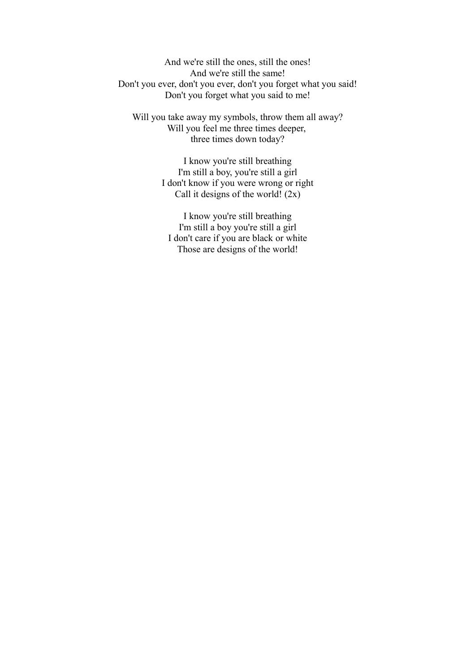And we're still the ones, still the ones! And we're still the same! Don't you ever, don't you ever, don't you forget what you said! Don't you forget what you said to me!

Will you take away my symbols, throw them all away? Will you feel me three times deeper, three times down today?

> I know you're still breathing I'm still a boy, you're still a girl I don't know if you were wrong or right Call it designs of the world!  $(2x)$

I know you're still breathing I'm still a boy you're still a girl I don't care if you are black or white Those are designs of the world!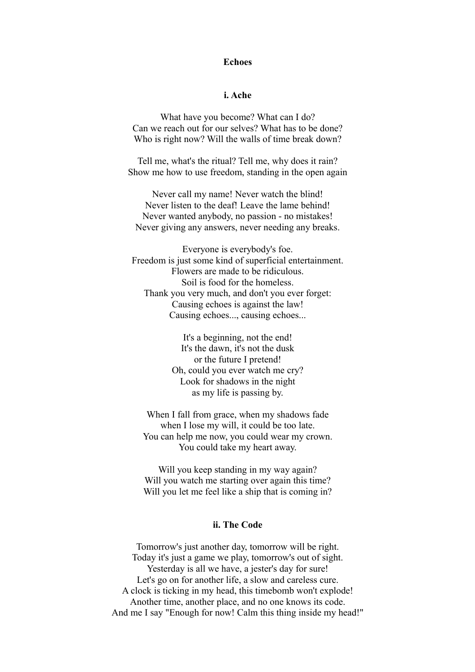# **Echoes**

## **i. Ache**

What have you become? What can I do? Can we reach out for our selves? What has to be done? Who is right now? Will the walls of time break down?

Tell me, what's the ritual? Tell me, why does it rain? Show me how to use freedom, standing in the open again

Never call my name! Never watch the blind! Never listen to the deaf! Leave the lame behind! Never wanted anybody, no passion - no mistakes! Never giving any answers, never needing any breaks.

Everyone is everybody's foe. Freedom is just some kind of superficial entertainment. Flowers are made to be ridiculous. Soil is food for the homeless. Thank you very much, and don't you ever forget: Causing echoes is against the law! Causing echoes..., causing echoes...

> It's a beginning, not the end! It's the dawn, it's not the dusk or the future I pretend! Oh, could you ever watch me cry? Look for shadows in the night as my life is passing by.

When I fall from grace, when my shadows fade when I lose my will, it could be too late. You can help me now, you could wear my crown. You could take my heart away.

Will you keep standing in my way again? Will you watch me starting over again this time? Will you let me feel like a ship that is coming in?

### **ii. The Code**

Tomorrow's just another day, tomorrow will be right. Today it's just a game we play, tomorrow's out of sight. Yesterday is all we have, a jester's day for sure! Let's go on for another life, a slow and careless cure. A clock is ticking in my head, this timebomb won't explode! Another time, another place, and no one knows its code. And me I say "Enough for now! Calm this thing inside my head!"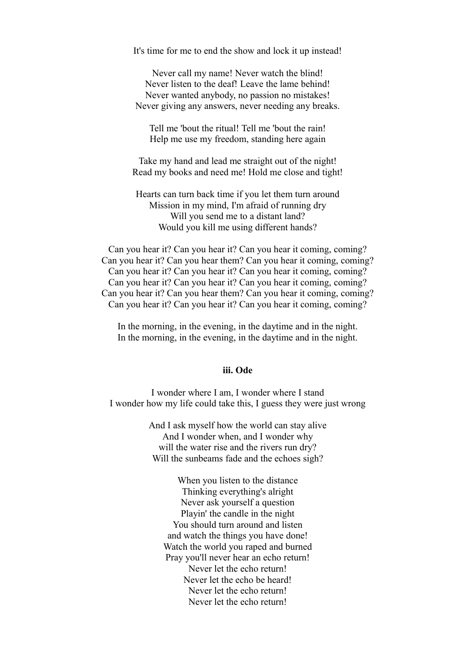It's time for me to end the show and lock it up instead!

Never call my name! Never watch the blind! Never listen to the deaf! Leave the lame behind! Never wanted anybody, no passion no mistakes! Never giving any answers, never needing any breaks.

Tell me 'bout the ritual! Tell me 'bout the rain! Help me use my freedom, standing here again

Take my hand and lead me straight out of the night! Read my books and need me! Hold me close and tight!

Hearts can turn back time if you let them turn around Mission in my mind, I'm afraid of running dry Will you send me to a distant land? Would you kill me using different hands?

Can you hear it? Can you hear it? Can you hear it coming, coming? Can you hear it? Can you hear them? Can you hear it coming, coming? Can you hear it? Can you hear it? Can you hear it coming, coming? Can you hear it? Can you hear it? Can you hear it coming, coming? Can you hear it? Can you hear them? Can you hear it coming, coming? Can you hear it? Can you hear it? Can you hear it coming, coming?

In the morning, in the evening, in the daytime and in the night. In the morning, in the evening, in the daytime and in the night.

## **iii. Ode**

I wonder where I am, I wonder where I stand I wonder how my life could take this, I guess they were just wrong

> And I ask myself how the world can stay alive And I wonder when, and I wonder why will the water rise and the rivers run dry? Will the sunbeams fade and the echoes sigh?

When you listen to the distance Thinking everything's alright Never ask yourself a question Playin' the candle in the night You should turn around and listen and watch the things you have done! Watch the world you raped and burned Pray you'll never hear an echo return! Never let the echo return! Never let the echo be heard! Never let the echo return! Never let the echo return!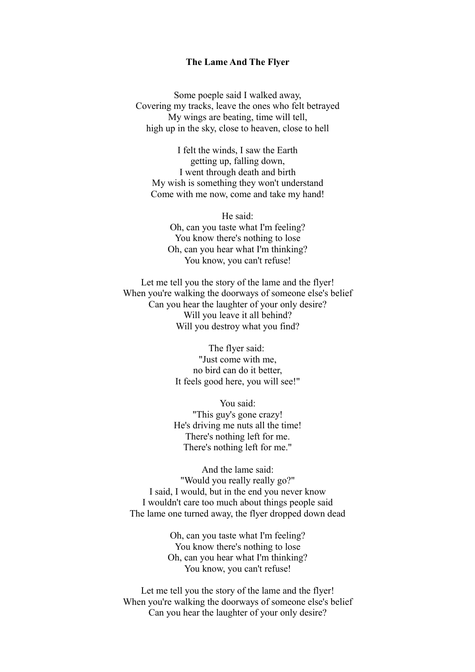#### **The Lame And The Flyer**

Some poeple said I walked away, Covering my tracks, leave the ones who felt betrayed My wings are beating, time will tell, high up in the sky, close to heaven, close to hell

I felt the winds, I saw the Earth getting up, falling down, I went through death and birth My wish is something they won't understand Come with me now, come and take my hand!

He said: Oh, can you taste what I'm feeling? You know there's nothing to lose Oh, can you hear what I'm thinking? You know, you can't refuse!

Let me tell you the story of the lame and the flyer! When you're walking the doorways of someone else's belief Can you hear the laughter of your only desire? Will you leave it all behind? Will you destroy what you find?

> The flyer said: "Just come with me, no bird can do it better, It feels good here, you will see!"

You said: "This guy's gone crazy! He's driving me nuts all the time! There's nothing left for me. There's nothing left for me."

And the lame said: "Would you really really go?" I said, I would, but in the end you never know I wouldn't care too much about things people said The lame one turned away, the flyer dropped down dead

> Oh, can you taste what I'm feeling? You know there's nothing to lose Oh, can you hear what I'm thinking? You know, you can't refuse!

Let me tell you the story of the lame and the flyer! When you're walking the doorways of someone else's belief Can you hear the laughter of your only desire?